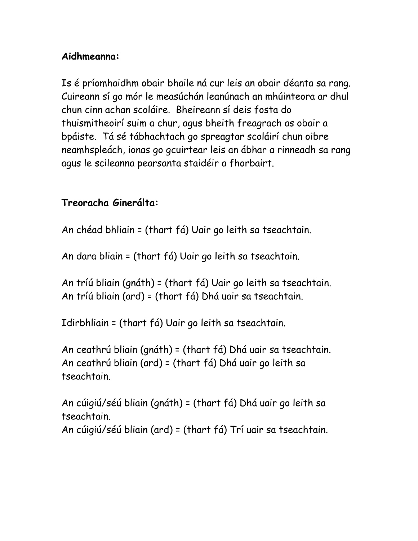## **Aidhmeanna:**

Is é príomhaidhm obair bhaile ná cur leis an obair déanta sa rang. Cuireann sí go mór le measúchán leanúnach an mhúinteora ar dhul chun cinn achan scoláire. Bheireann sí deis fosta do thuismitheoirí suim a chur, agus bheith freagrach as obair a bpáiste. Tá sé tábhachtach go spreagtar scoláirí chun oibre neamhspleách, ionas go gcuirtear leis an ábhar a rinneadh sa rang agus le scileanna pearsanta staidéir a fhorbairt.

### **Treoracha Ginerálta:**

An chéad bhliain = (thart fá) Uair go leith sa tseachtain.

An dara bliain = (thart fá) Uair go leith sa tseachtain.

An tríú bliain (gnáth) = (thart fá) Uair go leith sa tseachtain. An tríú bliain (ard) = (thart fá) Dhá uair sa tseachtain.

Idirbhliain = (thart fá) Uair go leith sa tseachtain.

An ceathrú bliain (gnáth) = (thart fá) Dhá uair sa tseachtain. An ceathrú bliain (ard) = (thart fá) Dhá uair go leith sa tseachtain.

An cúigiú/séú bliain (gnáth) = (thart fá) Dhá uair go leith sa tseachtain. An cúigiú/séú bliain (ard) = (thart fá) Trí uair sa tseachtain.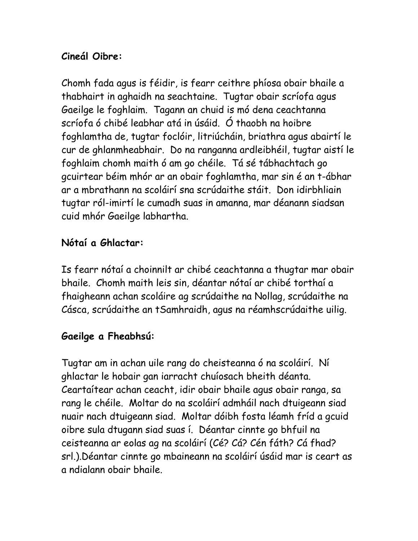## **Cineál Oibre:**

Chomh fada agus is féidir, is fearr ceithre phíosa obair bhaile a thabhairt in aghaidh na seachtaine. Tugtar obair scríofa agus Gaeilge le foghlaim. Tagann an chuid is mó dena ceachtanna scríofa ó chibé leabhar atá in úsáid. Ó thaobh na hoibre foghlamtha de, tugtar foclóir, litriúcháin, briathra agus abairtí le cur de ghlanmheabhair. Do na ranganna ardleibhéil, tugtar aistí le foghlaim chomh maith ó am go chéile. Tá sé tábhachtach go gcuirtear béim mhór ar an obair foghlamtha, mar sin é an t-ábhar ar a mbrathann na scoláirí sna scrúdaithe stáit. Don idirbhliain tugtar ról-imirtí le cumadh suas in amanna, mar déanann siadsan cuid mhór Gaeilge labhartha.

### **Nótaí a Ghlactar:**

Is fearr nótaí a choinnilt ar chibé ceachtanna a thugtar mar obair bhaile. Chomh maith leis sin, déantar nótaí ar chibé torthaí a fhaigheann achan scoláire ag scrúdaithe na Nollag, scrúdaithe na Cásca, scrúdaithe an tSamhraidh, agus na réamhscrúdaithe uilig.

# **Gaeilge a Fheabhsú:**

Tugtar am in achan uile rang do cheisteanna ó na scoláirí. Ní ghlactar le hobair gan iarracht chuíosach bheith déanta. Ceartaítear achan ceacht, idir obair bhaile agus obair ranga, sa rang le chéile. Moltar do na scoláirí admháil nach dtuigeann siad nuair nach dtuigeann siad. Moltar dóibh fosta léamh fríd a gcuid oibre sula dtugann siad suas í. Déantar cinnte go bhfuil na ceisteanna ar eolas ag na scoláirí (Cé? Cá? Cén fáth? Cá fhad? srl.).Déantar cinnte go mbaineann na scoláirí úsáid mar is ceart as a ndialann obair bhaile.